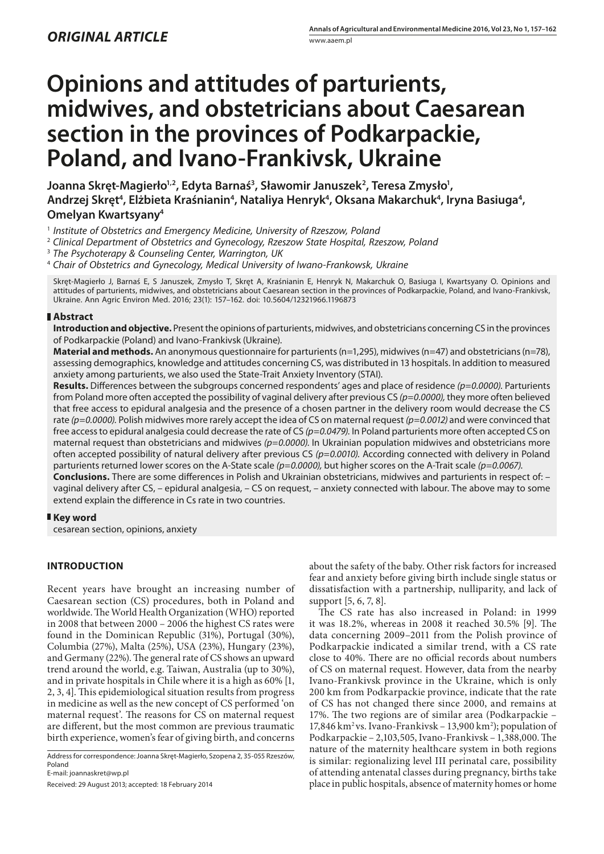# **Opinions and attitudes of parturients, midwives, and obstetricians about Caesarean section in the provinces of Podkarpackie, Poland, and Ivano-Frankivsk, Ukraine**

Joanna Skręt-Magierło<sup>1,2</sup>, Edyta Barnaś<sup>3</sup>, Sławomir Januszek<sup>2</sup>, Teresa Zmysło<sup>1</sup>, Andrzej Skręt<sup>4</sup>, Elżbieta Kraśnianin<sup>4</sup>, Nataliya Henryk<sup>4</sup>, Oksana Makarchuk<sup>4</sup>, Iryna Basiuga<sup>4</sup>, **Omelyan Kwartsyany4**

<sup>1</sup> *Institute of Obstetrics and Emergency Medicine, University of Rzeszow, Poland*

3  *The Psychoterapy & Counseling Center, Warrington, UK*

4  *Chair of Obstetrics and Gynecology, Medical University of Iwano-Frankowsk, Ukraine*

Skręt-Magierło J, Barnaś E, S Januszek, Zmysło T, Skręt A, Kraśnianin E, Henryk N, Makarchuk O, Basiuga I, Kwartsyany O. Opinions and attitudes of parturients, midwives, and obstetricians about Caesarean section in the provinces of Podkarpackie, Poland, and Ivano-Frankivsk, Ukraine. Ann Agric Environ Med. 2016; 23(1): 157–162. doi: 10.5604/12321966.1196873

### **Abstract**

**Introduction and objective.** Present the opinions of parturients, midwives, and obstetricians concerning CS in the provinces of Podkarpackie (Poland) and Ivano-Frankivsk (Ukraine).

**Material and methods.** An anonymous questionnaire for parturients (n=1,295), midwives (n=47) and obstetricians (n=78), assessing demographics, knowledge and attitudes concerning CS, was distributed in 13 hospitals. In addition to measured anxiety among parturients, we also used the State-Trait Anxiety Inventory (STAI).

**Results.** Differences between the subgroups concerned respondents' ages and place of residence *(p=0.0000).* Parturients from Poland more often accepted the possibility of vaginal delivery after previous CS *(p=0.0000),* they more often believed that free access to epidural analgesia and the presence of a chosen partner in the delivery room would decrease the CS rate *(p=0.0000).* Polish midwives more rarely accept the idea of CS on maternal request *(p=0.0012)* and were convinced that free access to epidural analgesia could decrease the rate of CS (p=0.0479). In Poland parturients more often accepted CS on maternal request than obstetricians and midwives *(p=0.0000).* In Ukrainian population midwives and obstetricians more often accepted possibility of natural delivery after previous CS *(p=0.0010).* According connected with delivery in Poland parturients returned lower scores on the A-State scale *(p=0.0000),* but higher scores on the A-Trait scale *(p=0.0067).*

**Conclusions.** There are some differences in Polish and Ukrainian obstetricians, midwives and parturients in respect of: – vaginal delivery after CS, – epidural analgesia, – CS on request, – anxiety connected with labour. The above may to some extend explain the difference in Cs rate in two countries.

### **Key word**

cesarean section, opinions, anxiety

## **INTRODUCTION**

Recent years have brought an increasing number of Caesarean section (CS) procedures, both in Poland and worldwide. The World Health Organization (WHO) reported in 2008 that between 2000 – 2006 the highest CS rates were found in the Dominican Republic (31%), Portugal (30%), Columbia (27%), Malta (25%), USA (23%), Hungary (23%), and Germany (22%). The general rate of CS shows an upward trend around the world, e.g. Taiwan, Australia (up to 30%), and in private hospitals in Chile where it is a high as 60% [1, 2, 3, 4]. This epidemiological situation results from progress in medicine as well as the new concept of CS performed 'on maternal request'. The reasons for CS on maternal request are different, but the most common are previous traumatic birth experience, women's fear of giving birth, and concerns

Address for correspondence: Joanna Skręt-Magierło, Szopena 2, 35-055 Rzeszów, Poland

E-mail: joannaskret@wp.pl

Received: 29 August 2013; accepted: 18 February 2014

about the safety of the baby. Other risk factors for increased fear and anxiety before giving birth include single status or dissatisfaction with a partnership, nulliparity, and lack of support [5, 6, 7, 8].

The CS rate has also increased in Poland: in 1999 it was 18.2%, whereas in 2008 it reached 30.5% [9]. The data concerning 2009–2011 from the Polish province of Podkarpackie indicated a similar trend, with a CS rate close to 40%. There are no official records about numbers of CS on maternal request. However, data from the nearby Ivano-Frankivsk province in the Ukraine, which is only 200 km from Podkarpackie province, indicate that the rate of CS has not changed there since 2000, and remains at 17%. The two regions are of similar area (Podkarpackie – 17,846 km<sup>2</sup> vs. Ivano-Frankivsk – 13,900 km<sup>2</sup>); population of Podkarpackie – 2,103,505, Ivano-Frankivsk – 1,388,000. The nature of the maternity healthcare system in both regions is similar: regionalizing level III perinatal care, possibility of attending antenatal classes during pregnancy, births take place in public hospitals, absence of maternity homes or home

<sup>&</sup>lt;sup>2</sup> Clinical Department of Obstetrics and Gynecology, Rzeszow State Hospital, Rzeszow, Poland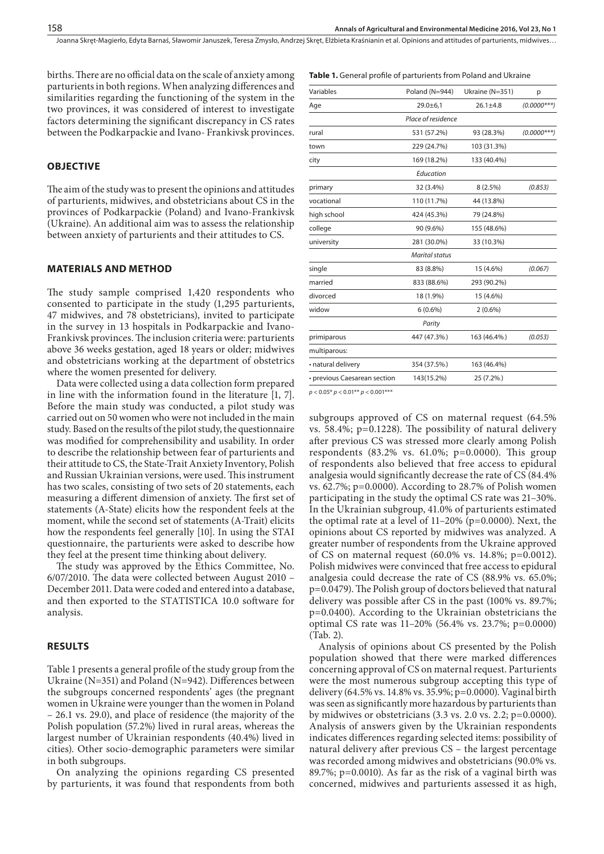**Table 1.** General profile of parturients from Poland and Ukraine

Joanna Skręt-Magierło, Edyta Barnaś, Sławomir Januszek, Teresa Zmysło, Andrzej Skręt, Elżbieta Kraśnianin et al. Opinions and attitudes of parturients, midwives…

births. There are no official data on the scale of anxiety among parturients in both regions. When analyzing differences and similarities regarding the functioning of the system in the two provinces, it was considered of interest to investigate factors determining the significant discrepancy in CS rates between the Podkarpackie and Ivano- Frankivsk provinces.

## **OBJECTIVE**

The aim of the study was to present the opinions and attitudes of parturients, midwives, and obstetricians about CS in the provinces of Podkarpackie (Poland) and Ivano-Frankivsk (Ukraine). An additional aim was to assess the relationship between anxiety of parturients and their attitudes to CS.

#### **MATERIALS AND METHOD**

The study sample comprised 1,420 respondents who consented to participate in the study (1,295 parturients, 47 midwives, and 78 obstetricians), invited to participate in the survey in 13 hospitals in Podkarpackie and Ivano-Frankivsk provinces. The inclusion criteria were: parturients above 36 weeks gestation, aged 18 years or older; midwives and obstetricians working at the department of obstetrics where the women presented for delivery.

Data were collected using a data collection form prepared in line with the information found in the literature [1, 7]. Before the main study was conducted, a pilot study was carried out on 50 women who were not included in the main study. Based on the results of the pilot study, the questionnaire was modified for comprehensibility and usability. In order to describe the relationship between fear of parturients and their attitude to CS, the State-Trait Anxiety Inventory, Polish and Russian Ukrainian versions, were used. This instrument has two scales, consisting of two sets of 20 statements, each measuring a different dimension of anxiety. The first set of statements (A-State) elicits how the respondent feels at the moment, while the second set of statements (A-Trait) elicits how the respondents feel generally [10]. In using the STAI questionnaire, the parturients were asked to describe how they feel at the present time thinking about delivery.

The study was approved by the Ethics Committee, No. 6/07/2010. The data were collected between August 2010 – December 2011. Data were coded and entered into a database, and then exported to the STATISTICA 10.0 software for analysis.

#### **RESULTS**

Table 1 presents a general profile of the study group from the Ukraine (N=351) and Poland (N=942). Differences between the subgroups concerned respondents' ages (the pregnant women in Ukraine were younger than the women in Poland – 26.1 vs. 29.0), and place of residence (the majority of the Polish population (57.2%) lived in rural areas, whereas the largest number of Ukrainian respondents (40.4%) lived in cities). Other socio-demographic parameters were similar in both subgroups.

On analyzing the opinions regarding CS presented by parturients, it was found that respondents from both

| Variables                    | Poland (N=944)        | Ukraine (N=351) | p             |  |
|------------------------------|-----------------------|-----------------|---------------|--|
| Age                          | $29.0 + 6.1$          | $26.1 \pm 4.8$  | $(0.0000***)$ |  |
|                              | Place of residence    |                 |               |  |
| rural                        | 531 (57.2%)           | 93 (28.3%)      | $(0.0000***)$ |  |
| town                         | 229 (24.7%)           | 103 (31.3%)     |               |  |
| city                         | 169 (18.2%)           | 133 (40.4%)     |               |  |
|                              | Education             |                 |               |  |
| primary                      | 32 (3.4%)             | 8(2.5%)         | (0.853)       |  |
| vocational                   | 110 (11.7%)           | 44 (13.8%)      |               |  |
| high school                  | 424 (45.3%)           | 79 (24.8%)      |               |  |
| college                      | 90 (9.6%)             | 155 (48.6%)     |               |  |
| university                   | 281 (30.0%)           | 33 (10.3%)      |               |  |
|                              | <b>Marital status</b> |                 |               |  |
| single                       | 83 (8.8%)             | 15 (4.6%)       | (0.067)       |  |
| married                      | 833 (88.6%)           | 293 (90.2%)     |               |  |
| divorced                     | 18 (1.9%)             | 15 (4.6%)       |               |  |
| widow                        | $6(0.6\%)$            | $2(0.6\%)$      |               |  |
|                              | Parity                |                 |               |  |
| primiparous                  | 447 (47.3%)           | 163 (46.4%)     | (0.053)       |  |
| multiparous:                 |                       |                 |               |  |
| • natural delivery           | 354 (37.5%)           | 163 (46.4%)     |               |  |
| • previous Caesarean section | 143(15.2%)            | 25 (7.2%)       |               |  |
|                              |                       |                 |               |  |

*p* < 0.05\* *p* < 0.01\*\* *p* < 0.001\*\*\*

subgroups approved of CS on maternal request (64.5% vs. 58.4%; p=0.1228). The possibility of natural delivery after previous CS was stressed more clearly among Polish respondents  $(83.2\% \text{ vs. } 61.0\%; \text{ p=0.0000}).$  This group of respondents also believed that free access to epidural analgesia would significantly decrease the rate of CS (84.4% vs. 62.7%; p=0.0000). According to 28.7% of Polish women participating in the study the optimal CS rate was 21–30%. In the Ukrainian subgroup, 41.0% of parturients estimated the optimal rate at a level of  $11-20\%$  (p=0.0000). Next, the opinions about CS reported by midwives was analyzed. A greater number of respondents from the Ukraine approved of CS on maternal request (60.0% vs. 14.8%; p=0.0012). Polish midwives were convinced that free access to epidural analgesia could decrease the rate of CS (88.9% vs. 65.0%; p=0.0479). The Polish group of doctors believed that natural delivery was possible after CS in the past (100% vs. 89.7%; p=0.0400). According to the Ukrainian obstetricians the optimal CS rate was 11–20% (56.4% vs. 23.7%; p=0.0000) (Tab. 2).

Analysis of opinions about CS presented by the Polish population showed that there were marked differences concerning approval of CS on maternal request. Parturients were the most numerous subgroup accepting this type of delivery (64.5% vs. 14.8% vs. 35.9%; p=0.0000). Vaginal birth was seen as significantly more hazardous by parturients than by midwives or obstetricians (3.3 vs. 2.0 vs. 2.2; p=0.0000). Analysis of answers given by the Ukrainian respondents indicates differences regarding selected items: possibility of natural delivery after previous CS – the largest percentage was recorded among midwives and obstetricians (90.0% vs. 89.7%; p=0.0010). As far as the risk of a vaginal birth was concerned, midwives and parturients assessed it as high,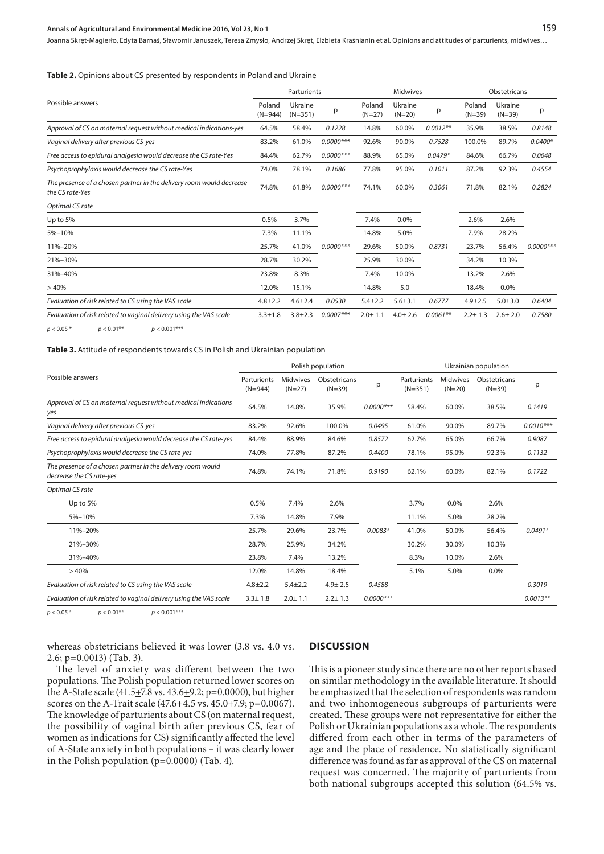#### **Annals of Agricultural and Environmental Medicine 2016, Vol 23, No 1**

Joanna Skręt-Magierło, Edyta Barnaś, Sławomir Januszek, Teresa Zmysło, Andrzej Skręt, Elżbieta Kraśnianin et al. Opinions and attitudes of parturients, midwives…

**Table 2.** Opinions about CS presented by respondents in Poland and Ukraine

|                                                                                         |                     | Parturients          |              |                    | <b>Midwives</b>     |            |                    | Obstetricans        |             |  |
|-----------------------------------------------------------------------------------------|---------------------|----------------------|--------------|--------------------|---------------------|------------|--------------------|---------------------|-------------|--|
| Possible answers                                                                        | Poland<br>$(N=944)$ | Ukraine<br>$(N=351)$ | p            | Poland<br>$(N=27)$ | Ukraine<br>$(N=20)$ | р          | Poland<br>$(N=39)$ | Ukraine<br>$(N=39)$ | p           |  |
| Approval of CS on maternal request without medical indications-yes                      | 64.5%               | 58.4%                | 0.1228       | 14.8%              | 60.0%               | $0.0012**$ | 35.9%              | 38.5%               | 0.8148      |  |
| Vaginal delivery after previous CS-yes                                                  | 83.2%               | 61.0%                | $0.0000$ *** | 92.6%              | 90.0%               | 0.7528     | 100.0%             | 89.7%               | $0.0400*$   |  |
| Free access to epidural analgesia would decrease the CS rate-Yes                        | 84.4%               | 62.7%                | $0.0000$ *** | 88.9%              | 65.0%               | $0.0479*$  | 84.6%              | 66.7%               | 0.0648      |  |
| Psychoprophylaxis would decrease the CS rate-Yes                                        | 74.0%               | 78.1%                | 0.1686       | 77.8%              | 95.0%               | 0.1011     | 87.2%              | 92.3%               | 0.4554      |  |
| The presence of a chosen partner in the delivery room would decrease<br>the CS rate-Yes |                     | 61.8%                | $0.0000***$  | 74.1%              | 60.0%               | 0.3061     | 71.8%              | 82.1%               | 0.2824      |  |
| Optimal CS rate                                                                         |                     |                      |              |                    |                     |            |                    |                     |             |  |
| Up to $5%$<br>0.5%                                                                      |                     | 3.7%                 | $0.0000$ *** | 7.4%               | 0.0%                | 0.8731     | 2.6%               | 2.6%                | $0.0000***$ |  |
| 5%-10%                                                                                  |                     | 11.1%                |              | 14.8%              | 5.0%                |            | 7.9%               | 28.2%               |             |  |
| 11%-20%                                                                                 |                     | 41.0%                |              | 29.6%              | 50.0%               |            | 23.7%              | 56.4%               |             |  |
| 21%-30%                                                                                 |                     | 30.2%                |              | 25.9%              | 30.0%               |            | 34.2%              | 10.3%               |             |  |
| 31%-40%                                                                                 |                     | 8.3%                 |              | 7.4%               | 10.0%               |            | 13.2%              | 2.6%                |             |  |
| >40%                                                                                    | 12.0%               | 15.1%                |              | 14.8%              | 5.0                 |            | 18.4%              | 0.0%                |             |  |
| Evaluation of risk related to CS using the VAS scale                                    | $4.8 \pm 2.2$       | $4.6 \pm 2.4$        | 0.0530       | $5.4 \pm 2.2$      | $5.6 + 3.1$         | 0.6777     | $4.9 \pm 2.5$      | $5.0 + 3.0$         | 0.6404      |  |
| Evaluation of risk related to vaginal delivery using the VAS scale                      | $3.3 \pm 1.8$       | $3.8 \pm 2.3$        | $0.0007***$  | $2.0 \pm 1.1$      | $4.0 \pm 2.6$       | $0.0061**$ | $2.2 \pm 1.3$      | $2.6 \pm 2.0$       | 0.7580      |  |
| $p < 0.05*$<br>$p < 0.01**$<br>$p < 0.001***$                                           |                     |                      |              |                    |                     |            |                    |                     |             |  |

#### **Table 3.** Attitude of respondents towards CS in Polish and Ukrainian population

|                                                                                         | Polish population        |                             |                          |             | Ukrainian population     |                             |                          |             |
|-----------------------------------------------------------------------------------------|--------------------------|-----------------------------|--------------------------|-------------|--------------------------|-----------------------------|--------------------------|-------------|
| Possible answers                                                                        | Parturients<br>$(N=944)$ | <b>Midwives</b><br>$(N=27)$ | Obstetricans<br>$(N=39)$ | р           | Parturients<br>$(N=351)$ | <b>Midwives</b><br>$(N=20)$ | Obstetricans<br>$(N=39)$ | p           |
| Approval of CS on maternal request without medical indications-<br>yes                  | 64.5%                    | 14.8%                       | 35.9%                    | $0.0000***$ | 58.4%                    | 60.0%                       | 38.5%                    | 0.1419      |
| Vaginal delivery after previous CS-yes                                                  | 83.2%                    | 92.6%                       | 100.0%                   | 0.0495      | 61.0%                    | 90.0%                       | 89.7%                    | $0.0010***$ |
| Free access to epidural analgesia would decrease the CS rate-yes                        | 84.4%                    | 88.9%                       | 84.6%                    | 0.8572      | 62.7%                    | 65.0%                       | 66.7%                    | 0.9087      |
| Psychoprophylaxis would decrease the CS rate-yes                                        | 74.0%                    | 77.8%                       | 87.2%                    | 0.4400      | 78.1%                    | 95.0%                       | 92.3%                    | 0.1132      |
| The presence of a chosen partner in the delivery room would<br>decrease the CS rate-yes | 74.8%                    | 74.1%                       | 71.8%                    | 0.9190      | 62.1%                    | 60.0%                       | 82.1%                    | 0.1722      |
| Optimal CS rate                                                                         |                          |                             |                          |             |                          |                             |                          |             |
| Up to 5%                                                                                | 0.5%                     | 7.4%                        | 2.6%                     |             | 3.7%                     | 0.0%                        | 2.6%                     |             |
| 5%-10%                                                                                  | 7.3%                     | 14.8%                       | 7.9%                     |             | 11.1%                    | 5.0%                        | 28.2%                    |             |
| 11%-20%                                                                                 | 25.7%                    | 29.6%                       | 23.7%                    | $0.0083*$   | 41.0%                    | 50.0%                       | 56.4%                    | $0.0491*$   |
| 21%-30%                                                                                 | 28.7%                    | 25.9%                       | 34.2%                    |             | 30.2%                    | 30.0%                       | 10.3%                    |             |
| 31%-40%                                                                                 | 23.8%                    | 7.4%                        | 13.2%                    |             | 8.3%                     | 10.0%                       | 2.6%                     |             |
| >40%                                                                                    | 12.0%                    | 14.8%                       | 18.4%                    |             | 5.1%                     | 5.0%                        | 0.0%                     |             |
| Evaluation of risk related to CS using the VAS scale                                    | $4.8 \pm 2.2$            | $5.4 \pm 2.2$               | $4.9 \pm 2.5$            | 0.4588      |                          |                             |                          | 0.3019      |
| Evaluation of risk related to vaginal delivery using the VAS scale                      | $3.3 \pm 1.8$            | $2.0 \pm 1.1$               | $2.2 \pm 1.3$            | $0.0000***$ |                          |                             |                          | $0.0013**$  |

 $p < 0.05$ \* *p* < 0.01\*\* *p* < 0.001\*\*\*

whereas obstetricians believed it was lower (3.8 vs. 4.0 vs. 2.6; p=0.0013) (Tab. 3). The level of anxiety was different between the two

populations. The Polish population returned lower scores on the A-State scale  $(41.5\pm 7.8 \text{ vs. } 43.6\pm 9.2; \text{p}=0.0000)$ , but higher scores on the A-Trait scale (47.6 $\pm$ 4.5 vs. 45.0 $\pm$ 7.9; p=0.0067). The knowledge of parturients about CS (on maternal request, the possibility of vaginal birth after previous CS, fear of women as indications for CS) significantly affected the level of A-State anxiety in both populations – it was clearly lower

in the Polish population (p=0.0000) (Tab. 4).

## **DISCUSSION**

This is a pioneer study since there are no other reports based on similar methodology in the available literature. It should be emphasized that the selection of respondents was random and two inhomogeneous subgroups of parturients were created. These groups were not representative for either the Polish or Ukrainian populations as a whole. The respondents differed from each other in terms of the parameters of age and the place of residence. No statistically significant difference was found as far as approval of the CS on maternal request was concerned. The majority of parturients from both national subgroups accepted this solution (64.5% vs.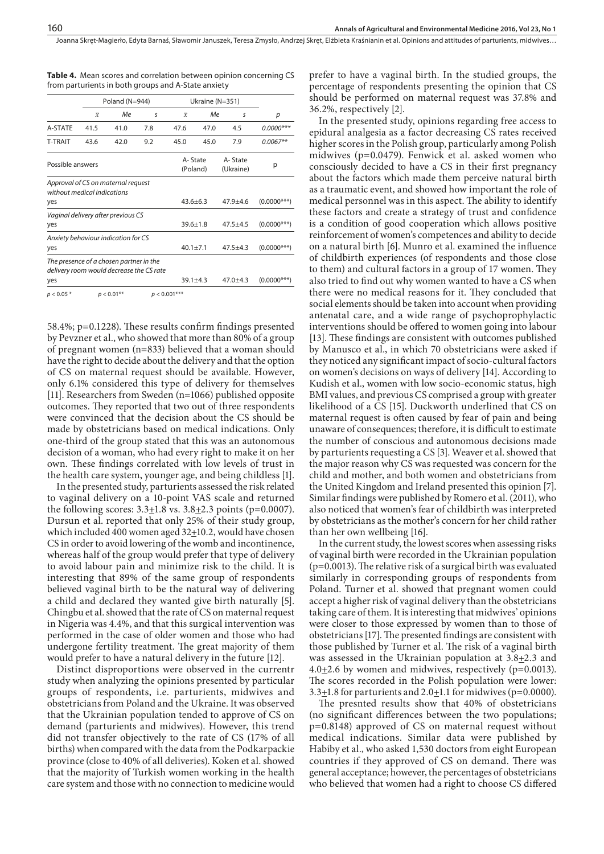Joanna Skręt-Magierło, Edyta Barnaś, Sławomir Januszek, Teresa Zmysło, Andrzej Skręt, Elżbieta Kraśnianin et al. Opinions and attitudes of parturients, midwives…

|                                                                                     |                  | Poland (N=944) |                |                     | Ukraine (N=351)      |              |                |  |
|-------------------------------------------------------------------------------------|------------------|----------------|----------------|---------------------|----------------------|--------------|----------------|--|
|                                                                                     | $\overline{x}$   | Me.            | s              | $\overline{x}$      | Me.                  | s            | р              |  |
| A-STATE                                                                             | 41.5             | 41.0           | 7.8            | 47.6                | 47.0                 | 4.5          | $0.0000***$    |  |
| <b>T-TRAIT</b>                                                                      | 43.6             | 42.0           | 9.2            | 45.0                | 45.0                 | 7.9          | $0.0067**$     |  |
|                                                                                     | Possible answers |                |                | A-State<br>(Poland) | A-State<br>(Ukraine) | р            |                |  |
| Approval of CS on maternal request<br>without medical indications                   |                  |                |                |                     |                      |              |                |  |
| yes                                                                                 |                  |                |                | $43.6 + 6.3$        |                      | $47.9 + 4.6$ | $(0.0000$ ***) |  |
| Vaginal delivery after previous CS<br>yes                                           |                  |                |                |                     | $39.6 + 1.8$         | $47.5 + 4.5$ | $(0.0000***)$  |  |
| Anxiety behaviour indication for CS                                                 |                  |                |                |                     |                      |              |                |  |
| yes                                                                                 |                  |                |                | $40.1 \pm 7.1$      |                      | $47.5 + 4.3$ | $(0.0000***)$  |  |
| The presence of a chosen partner in the<br>delivery room would decrease the CS rate |                  |                |                |                     |                      |              |                |  |
| yes                                                                                 |                  |                |                | $39.1 + 4.3$        |                      | $47.0 + 4.3$ | $(0.0000***)$  |  |
| $p < 0.05*$                                                                         |                  | $p < 0.01$ **  | $p < 0.001***$ |                     |                      |              |                |  |

**Table 4.** Mean scores and correlation between opinion concerning CS from parturients in both groups and A-State anxiety

58.4%; p=0.1228). These results confirm findings presented by Pevzner et al., who showed that more than 80% of a group of pregnant women (n=833) believed that a woman should have the right to decide about the delivery and that the option of CS on maternal request should be available. However, only 6.1% considered this type of delivery for themselves [11]. Researchers from Sweden (n=1066) published opposite outcomes. They reported that two out of three respondents were convinced that the decision about the CS should be made by obstetricians based on medical indications. Only one-third of the group stated that this was an autonomous decision of a woman, who had every right to make it on her own. These findings correlated with low levels of trust in the health care system, younger age, and being childless [1].

In the presented study, parturients assessed the risk related to vaginal delivery on a 10-point VAS scale and returned the following scores:  $3.3 \pm 1.8$  vs.  $3.8 \pm 2.3$  points (p=0.0007). Dursun et al. reported that only 25% of their study group, which included 400 women aged  $32+10.2$ , would have chosen CS in order to avoid lowering of the womb and incontinence, whereas half of the group would prefer that type of delivery to avoid labour pain and minimize risk to the child. It is interesting that 89% of the same group of respondents believed vaginal birth to be the natural way of delivering a child and declared they wanted give birth naturally [5]. Chingbu et al. showed that the rate of CS on maternal request in Nigeria was 4.4%, and that this surgical intervention was performed in the case of older women and those who had undergone fertility treatment. The great majority of them would prefer to have a natural delivery in the future [12].

Distinct disproportions were observed in the currentr study when analyzing the opinions presented by particular groups of respondents, i.e. parturients, midwives and obstetricians from Poland and the Ukraine. It was observed that the Ukrainian population tended to approve of CS on demand (parturients and midwives). However, this trend did not transfer objectively to the rate of CS (17% of all births) when compared with the data from the Podkarpackie province (close to 40% of all deliveries). Koken et al. showed that the majority of Turkish women working in the health care system and those with no connection to medicine would

prefer to have a vaginal birth. In the studied groups, the percentage of respondents presenting the opinion that CS should be performed on maternal request was 37.8% and 36.2%, respectively [2].

In the presented study, opinions regarding free access to epidural analgesia as a factor decreasing CS rates received higher scores in the Polish group, particularly among Polish midwives (p=0.0479). Fenwick et al. asked women who consciously decided to have a CS in their first pregnancy about the factors which made them perceive natural birth as a traumatic event, and showed how important the role of medical personnel was in this aspect. The ability to identify these factors and create a strategy of trust and confidence is a condition of good cooperation which allows positive reinforcement of women's competences and ability to decide on a natural birth [6]. Munro et al. examined the influence of childbirth experiences (of respondents and those close to them) and cultural factors in a group of 17 women. They also tried to find out why women wanted to have a CS when there were no medical reasons for it. They concluded that social elements should be taken into account when providing antenatal care, and a wide range of psychoprophylactic interventions should be offered to women going into labour [13]. These findings are consistent with outcomes published by Manusco et al., in which 70 obstetricians were asked if they noticed any significant impact of socio-cultural factors on women's decisions on ways of delivery [14]. According to Kudish et al., women with low socio-economic status, high BMI values, and previous CS comprised a group with greater likelihood of a CS [15]. Duckworth underlined that CS on maternal request is often caused by fear of pain and being unaware of consequences; therefore, it is difficult to estimate the number of conscious and autonomous decisions made by parturients requesting a CS [3]. Weaver et al. showed that the major reason why CS was requested was concern for the child and mother, and both women and obstetricians from the United Kingdom and Ireland presented this opinion [7]. Similar findings were published by Romero et al. (2011), who also noticed that women's fear of childbirth was interpreted by obstetricians as the mother's concern for her child rather than her own wellbeing [16].

In the current study, the lowest scores when assessing risks of vaginal birth were recorded in the Ukrainian population (p=0.0013). The relative risk of a surgical birth was evaluated similarly in corresponding groups of respondents from Poland. Turner et al. showed that pregnant women could accept a higher risk of vaginal delivery than the obstetricians taking care of them. It is interesting that midwives' opinions were closer to those expressed by women than to those of obstetricians [17]. The presented findings are consistent with those published by Turner et al. The risk of a vaginal birth was assessed in the Ukrainian population at  $3.8 \pm 2.3$  and 4.0 $\pm$ 2.6 by women and midwives, respectively (p=0.0013). The scores recorded in the Polish population were lower: 3.3 $\pm$ 1.8 for parturients and 2.0 $\pm$ 1.1 for midwives (p=0.0000).

The presnted results show that 40% of obstetricians (no significant differences between the two populations; p=0.8148) approved of CS on maternal request without medical indications. Similar data were published by Habiby et al., who asked 1,530 doctors from eight European countries if they approved of CS on demand. There was general acceptance; however, the percentages of obstetricians who believed that women had a right to choose CS differed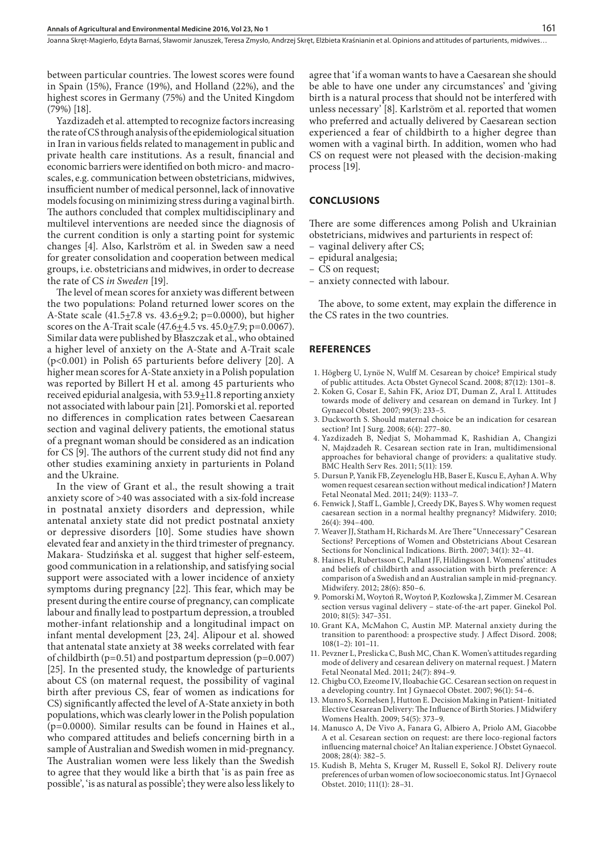Joanna Skręt-Magierło, Edyta Barnaś, Sławomir Januszek, Teresa Zmysło, Andrzej Skręt, Elżbieta Kraśnianin et al. Opinions and attitudes of parturients, midwives…

between particular countries. The lowest scores were found in Spain (15%), France (19%), and Holland (22%), and the highest scores in Germany (75%) and the United Kingdom (79%) [18].

Yazdizadeh et al. attempted to recognize factors increasing the rate of CS through analysis of the epidemiological situation in Iran in various fields related to management in public and private health care institutions. As a result, financial and economic barriers were identified on both micro- and macroscales, e.g. communication between obstetricians, midwives, insufficient number of medical personnel, lack of innovative models focusing on minimizing stress during a vaginal birth. The authors concluded that complex multidisciplinary and multilevel interventions are needed since the diagnosis of the current condition is only a starting point for systemic changes [4]. Also, Karlström et al. in Sweden saw a need for greater consolidation and cooperation between medical groups, i.e. obstetricians and midwives, in order to decrease the rate of CS *in Sweden* [19].

The level of mean scores for anxiety was different between the two populations: Poland returned lower scores on the A-State scale  $(41.5\pm7.8 \text{ vs. } 43.6\pm9.2; \text{ p}=0.0000)$ , but higher scores on the A-Trait scale  $(47.6 \pm 4.5 \text{ vs. } 45.0 \pm 7.9; \text{ p}=0.0067)$ . Similar data were published by Błaszczak et al., who obtained a higher level of anxiety on the A-State and A-Trait scale (p<0.001) in Polish 65 parturients before delivery [20]. A higher mean scores for A-State anxiety in a Polish population was reported by Billert H et al. among 45 parturients who received epidurial analgesia, with 53.9+11.8 reporting anxiety not associated with labour pain [21]. Pomorski et al. reported no differences in complication rates between Caesarean section and vaginal delivery patients, the emotional status of a pregnant woman should be considered as an indication for CS [9]. The authors of the current study did not find any other studies examining anxiety in parturients in Poland and the Ukraine.

In the view of Grant et al., the result showing a trait anxiety score of >40 was associated with a six-fold increase in postnatal anxiety disorders and depression, while antenatal anxiety state did not predict postnatal anxiety or depressive disorders [10]. Some studies have shown elevated fear and anxiety in the third trimester of pregnancy. Makara- Studzińska et al. suggest that higher self-esteem, good communication in a relationship, and satisfying social support were associated with a lower incidence of anxiety symptoms during pregnancy [22]. This fear, which may be present during the entire course of pregnancy, can complicate labour and finally lead to postpartum depression, a troubled mother-infant relationship and a longitudinal impact on infant mental development [23, 24]. Alipour et al. showed that antenatal state anxiety at 38 weeks correlated with fear of childbirth ( $p=0.51$ ) and postpartum depression ( $p=0.007$ ) [25]. In the presented study, the knowledge of parturients about CS (on maternal request, the possibility of vaginal birth after previous CS, fear of women as indications for CS) significantly affected the level of A-State anxiety in both populations, which was clearly lower in the Polish population (p=0.0000). Similar results can be found in Haines et al., who compared attitudes and beliefs concerning birth in a sample of Australian and Swedish women in mid-pregnancy. The Australian women were less likely than the Swedish to agree that they would like a birth that 'is as pain free as possible', 'is as natural as possible'; they were also less likely to

agree that 'if a woman wants to have a Caesarean she should be able to have one under any circumstances' and 'giving birth is a natural process that should not be interfered with unless necessary' [8]. Karlström et al. reported that women who preferred and actually delivered by Caesarean section experienced a fear of childbirth to a higher degree than women with a vaginal birth. In addition, women who had CS on request were not pleased with the decision-making process [19].

#### **CONCLUSIONS**

There are some differences among Polish and Ukrainian obstetricians, midwives and parturients in respect of:

- vaginal delivery after CS;
- epidural analgesia;
- CS on request;
- anxiety connected with labour.

The above, to some extent, may explain the difference in the CS rates in the two countries.

#### **REFERENCES**

- 1. Högberg U, Lynöe N, Wulff M. Cesarean by choice? Empirical study of public attitudes. Acta Obstet Gynecol Scand. 2008; 87(12): 1301–8.
- 2. Koken G, Cosar E, Sahin FK, Arioz DT, Duman Z, Aral I. Attitudes towards mode of delivery and cesarean on demand in Turkey. Int J Gynaecol Obstet. 2007; 99(3): 233–5.
- 3. Duckworth S. Should maternal choice be an indication for cesarean section? Int J Surg. 2008; 6(4): 277–80.
- 4. Yazdizadeh B, Nedjat S, Mohammad K, Rashidian A, Changizi N, Majdzadeh R. Cesarean section rate in Iran, multidimensional approaches for behavioral change of providers: a qualitative study. BMC Health Serv Res. 2011; 5(11): 159.
- 5. Dursun P, Yanik FB, Zeyeneloglu HB, Baser E, Kuscu E, Ayhan A. Why women request cesarean section without medical indication? J Matern Fetal Neonatal Med. 2011; 24(9): 1133–7.
- 6. Fenwick J, Staff L, Gamble J, Creedy DK, Bayes S. Why women request caesarean section in a normal healthy pregnancy? Midwifery. 2010; 26(4): 394–400.
- 7. Weaver JJ, Statham H, Richards M. Are There "Unnecessary" Cesarean Sections? Perceptions of Women and Obstetricians About Cesarean Sections for Nonclinical Indications. Birth. 2007; 34(1): 32–41.
- 8. Haines H, Rubertsson C, Pallant JF, Hildingsson I. Womens' attitudes and beliefs of childbirth and association with birth preference: A comparison of a Swedish and an Australian sample in mid-pregnancy. Midwifery. 2012; 28(6): 850–6.
- 9. Pomorski M, Woytoń R, Woytoń P, Kozłowska J, Zimmer M. Cesarean section versus vaginal delivery – state-of-the-art paper. Ginekol Pol. 2010; 81(5): 347–351.
- 10. Grant KA, McMahon C, Austin MP. Maternal anxiety during the transition to parenthood: a prospective study. J Affect Disord. 2008; 108(1–2): 101–11.
- 11. Pevzner L, Preslicka C, Bush MC, Chan K. Women's attitudes regarding mode of delivery and cesarean delivery on maternal request. J Matern Fetal Neonatal Med. 2011; 24(7): 894–9.
- 12. Chigbu CO, Ezeome IV, Iloabachie GC. Cesarean section on request in a developing country. Int J Gynaecol Obstet. 2007; 96(1): 54–6.
- 13. Munro S, Kornelsen J, Hutton E. Decision Making in Patient- Initiated Elective Cesarean Delivery: The Influence of Birth Stories. J Midwifery Womens Health. 2009; 54(5): 373–9.
- 14. Manusco A, De Vivo A, Fanara G, Albiero A, Priolo AM, Giacobbe A et al. Cesarean section on request: are there loco-regional factors influencing maternal choice? An Italian experience. J Obstet Gynaecol. 2008; 28(4): 382–5.
- 15. Kudish B, Mehta S, Kruger M, Russell E, Sokol RJ. Delivery route preferences of urban women of low socioeconomic status. Int J Gynaecol Obstet. 2010; 111(1): 28–31.